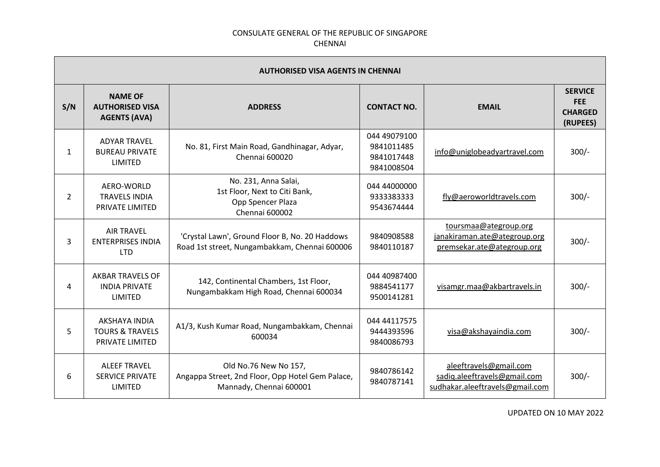| <b>AUTHORISED VISA AGENTS IN CHENNAI</b> |                                                                 |                                                                                                      |                                                        |                                                                                           |                                                            |  |
|------------------------------------------|-----------------------------------------------------------------|------------------------------------------------------------------------------------------------------|--------------------------------------------------------|-------------------------------------------------------------------------------------------|------------------------------------------------------------|--|
| S/N                                      | <b>NAME OF</b><br><b>AUTHORISED VISA</b><br><b>AGENTS (AVA)</b> | <b>ADDRESS</b>                                                                                       | <b>CONTACT NO.</b>                                     | <b>EMAIL</b>                                                                              | <b>SERVICE</b><br><b>FEE</b><br><b>CHARGED</b><br>(RUPEES) |  |
| 1                                        | <b>ADYAR TRAVEL</b><br><b>BUREAU PRIVATE</b><br><b>LIMITED</b>  | No. 81, First Main Road, Gandhinagar, Adyar,<br>Chennai 600020                                       | 044 49079100<br>9841011485<br>9841017448<br>9841008504 | info@uniglobeadyartravel.com                                                              | $300/-$                                                    |  |
| $\overline{2}$                           | AERO-WORLD<br><b>TRAVELS INDIA</b><br>PRIVATE LIMITED           | No. 231, Anna Salai,<br>1st Floor, Next to Citi Bank,<br>Opp Spencer Plaza<br>Chennai 600002         | 044 44000000<br>9333383333<br>9543674444               | fly@aeroworldtravels.com                                                                  | $300/-$                                                    |  |
| 3                                        | <b>AIR TRAVEL</b><br><b>ENTERPRISES INDIA</b><br><b>LTD</b>     | 'Crystal Lawn', Ground Floor B, No. 20 Haddows<br>Road 1st street, Nungambakkam, Chennai 600006      | 9840908588<br>9840110187                               | toursmaa@ategroup.org<br>janakiraman.ate@ategroup.org<br>premsekar.ate@ategroup.org       | $300/-$                                                    |  |
| 4                                        | <b>AKBAR TRAVELS OF</b><br><b>INDIA PRIVATE</b><br>LIMITED      | 142, Continental Chambers, 1st Floor,<br>Nungambakkam High Road, Chennai 600034                      | 044 40987400<br>9884541177<br>9500141281               | visamgr.maa@akbartravels.in                                                               | $300/-$                                                    |  |
| 5                                        | AKSHAYA INDIA<br><b>TOURS &amp; TRAVELS</b><br>PRIVATE LIMITED  | A1/3, Kush Kumar Road, Nungambakkam, Chennai<br>600034                                               | 044 44117575<br>9444393596<br>9840086793               | visa@akshayaindia.com                                                                     | $300/-$                                                    |  |
| 6                                        | <b>ALEEF TRAVEL</b><br><b>SERVICE PRIVATE</b><br><b>LIMITED</b> | Old No.76 New No 157,<br>Angappa Street, 2nd Floor, Opp Hotel Gem Palace,<br>Mannady, Chennai 600001 | 9840786142<br>9840787141                               | aleeftravels@gmail.com<br>sadiq.aleeftravels@gmail.com<br>sudhakar.aleeftravels@gmail.com | $300/-$                                                    |  |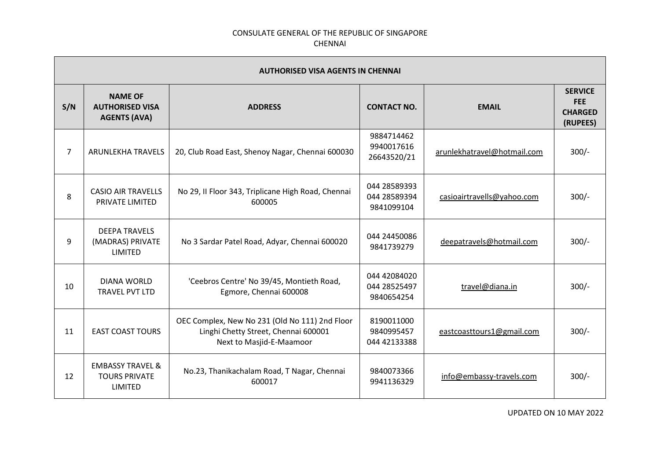| <b>AUTHORISED VISA AGENTS IN CHENNAI</b> |                                                                       |                                                                                                                    |                                            |                             |                                                            |
|------------------------------------------|-----------------------------------------------------------------------|--------------------------------------------------------------------------------------------------------------------|--------------------------------------------|-----------------------------|------------------------------------------------------------|
| S/N                                      | <b>NAME OF</b><br><b>AUTHORISED VISA</b><br><b>AGENTS (AVA)</b>       | <b>ADDRESS</b>                                                                                                     | <b>CONTACT NO.</b>                         | <b>EMAIL</b>                | <b>SERVICE</b><br><b>FEE</b><br><b>CHARGED</b><br>(RUPEES) |
| $\overline{7}$                           | ARUNLEKHA TRAVELS                                                     | 20, Club Road East, Shenoy Nagar, Chennai 600030                                                                   | 9884714462<br>9940017616<br>26643520/21    | arunlekhatravel@hotmail.com | $300/-$                                                    |
| 8                                        | <b>CASIO AIR TRAVELLS</b><br>PRIVATE LIMITED                          | No 29, II Floor 343, Triplicane High Road, Chennai<br>600005                                                       | 044 28589393<br>044 28589394<br>9841099104 | casioairtravells@yahoo.com  | $300/-$                                                    |
| 9                                        | <b>DEEPA TRAVELS</b><br>(MADRAS) PRIVATE<br><b>LIMITED</b>            | No 3 Sardar Patel Road, Adyar, Chennai 600020                                                                      | 044 24450086<br>9841739279                 | deepatravels@hotmail.com    | $300/-$                                                    |
| 10                                       | <b>DIANA WORLD</b><br>TRAVEL PVT LTD                                  | 'Ceebros Centre' No 39/45, Montieth Road,<br>Egmore, Chennai 600008                                                | 044 42084020<br>044 28525497<br>9840654254 | travel@diana.in             | $300/-$                                                    |
| 11                                       | <b>EAST COAST TOURS</b>                                               | OEC Complex, New No 231 (Old No 111) 2nd Floor<br>Linghi Chetty Street, Chennai 600001<br>Next to Masjid-E-Maamoor | 8190011000<br>9840995457<br>044 42133388   | eastcoasttours1@gmail.com   | $300/-$                                                    |
| 12                                       | <b>EMBASSY TRAVEL &amp;</b><br><b>TOURS PRIVATE</b><br><b>LIMITED</b> | No.23, Thanikachalam Road, T Nagar, Chennai<br>600017                                                              | 9840073366<br>9941136329                   | info@embassy-travels.com    | $300/-$                                                    |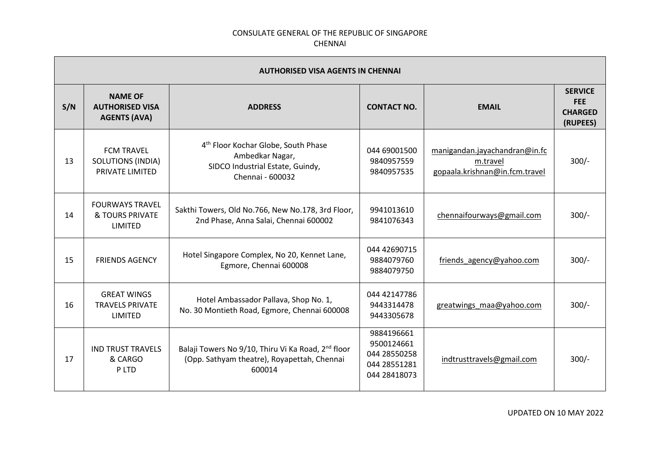|     | <b>AUTHORISED VISA AGENTS IN CHENNAI</b>                         |                                                                                                                            |                                                                          |                                                                             |                                                            |  |
|-----|------------------------------------------------------------------|----------------------------------------------------------------------------------------------------------------------------|--------------------------------------------------------------------------|-----------------------------------------------------------------------------|------------------------------------------------------------|--|
| S/N | <b>NAME OF</b><br><b>AUTHORISED VISA</b><br><b>AGENTS (AVA)</b>  | <b>ADDRESS</b>                                                                                                             | <b>CONTACT NO.</b>                                                       | <b>EMAIL</b>                                                                | <b>SERVICE</b><br><b>FEE</b><br><b>CHARGED</b><br>(RUPEES) |  |
| 13  | <b>FCM TRAVEL</b><br><b>SOLUTIONS (INDIA)</b><br>PRIVATE LIMITED | 4 <sup>th</sup> Floor Kochar Globe, South Phase<br>Ambedkar Nagar,<br>SIDCO Industrial Estate, Guindy,<br>Chennai - 600032 | 044 69001500<br>9840957559<br>9840957535                                 | manigandan.jayachandran@in.fc<br>m.travel<br>gopaala.krishnan@in.fcm.travel | $300/-$                                                    |  |
| 14  | <b>FOURWAYS TRAVEL</b><br>& TOURS PRIVATE<br><b>LIMITED</b>      | Sakthi Towers, Old No.766, New No.178, 3rd Floor,<br>2nd Phase, Anna Salai, Chennai 600002                                 | 9941013610<br>9841076343                                                 | chennaifourways@gmail.com                                                   | $300/-$                                                    |  |
| 15  | <b>FRIENDS AGENCY</b>                                            | Hotel Singapore Complex, No 20, Kennet Lane,<br>Egmore, Chennai 600008                                                     | 044 42690715<br>9884079760<br>9884079750                                 | friends agency@yahoo.com                                                    | $300/-$                                                    |  |
| 16  | <b>GREAT WINGS</b><br><b>TRAVELS PRIVATE</b><br>LIMITED          | Hotel Ambassador Pallava, Shop No. 1,<br>No. 30 Montieth Road, Egmore, Chennai 600008                                      | 044 42147786<br>9443314478<br>9443305678                                 | greatwings maa@yahoo.com                                                    | $300/-$                                                    |  |
| 17  | <b>IND TRUST TRAVELS</b><br>& CARGO<br>P LTD                     | Balaji Towers No 9/10, Thiru Vi Ka Road, 2 <sup>nd</sup> floor<br>(Opp. Sathyam theatre), Royapettah, Chennai<br>600014    | 9884196661<br>9500124661<br>044 28550258<br>044 28551281<br>044 28418073 | indtrusttravels@gmail.com                                                   | $300/-$                                                    |  |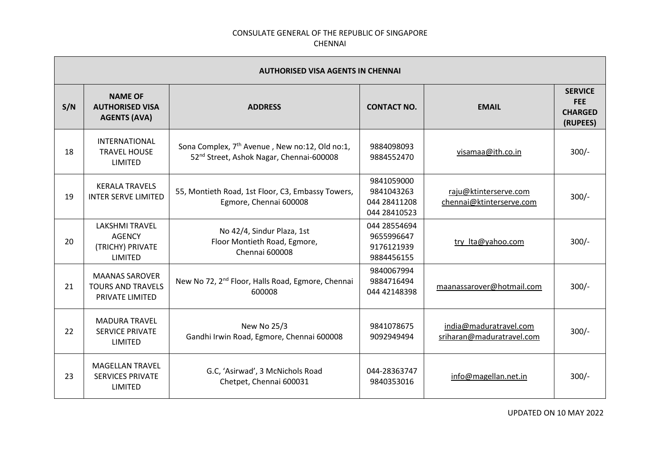| <b>AUTHORISED VISA AGENTS IN CHENNAI</b> |                                                                       |                                                                                                                    |                                                          |                                                     |                                                            |  |
|------------------------------------------|-----------------------------------------------------------------------|--------------------------------------------------------------------------------------------------------------------|----------------------------------------------------------|-----------------------------------------------------|------------------------------------------------------------|--|
| S/N                                      | <b>NAME OF</b><br><b>AUTHORISED VISA</b><br><b>AGENTS (AVA)</b>       | <b>ADDRESS</b>                                                                                                     | <b>CONTACT NO.</b>                                       | <b>EMAIL</b>                                        | <b>SERVICE</b><br><b>FEE</b><br><b>CHARGED</b><br>(RUPEES) |  |
| 18                                       | <b>INTERNATIONAL</b><br><b>TRAVEL HOUSE</b><br><b>LIMITED</b>         | Sona Complex, 7 <sup>th</sup> Avenue, New no:12, Old no:1,<br>52 <sup>nd</sup> Street, Ashok Nagar, Chennai-600008 | 9884098093<br>9884552470                                 | visamaa@ith.co.in                                   | $300/-$                                                    |  |
| 19                                       | <b>KERALA TRAVELS</b><br><b>INTER SERVE LIMITED</b>                   | 55, Montieth Road, 1st Floor, C3, Embassy Towers,<br>Egmore, Chennai 600008                                        | 9841059000<br>9841043263<br>044 28411208<br>044 28410523 | raju@ktinterserve.com<br>chennai@ktinterserve.com   | $300/-$                                                    |  |
| 20                                       | <b>LAKSHMI TRAVEL</b><br><b>AGENCY</b><br>(TRICHY) PRIVATE<br>LIMITED | No 42/4, Sindur Plaza, 1st<br>Floor Montieth Road, Egmore,<br><b>Chennai 600008</b>                                | 044 28554694<br>9655996647<br>9176121939<br>9884456155   | try Ita@yahoo.com                                   | $300/-$                                                    |  |
| 21                                       | <b>MAANAS SAROVER</b><br><b>TOURS AND TRAVELS</b><br>PRIVATE LIMITED  | New No 72, 2 <sup>nd</sup> Floor, Halls Road, Egmore, Chennai<br>600008                                            | 9840067994<br>9884716494<br>044 42148398                 | maanassarover@hotmail.com                           | $300/-$                                                    |  |
| 22                                       | <b>MADURA TRAVEL</b><br><b>SERVICE PRIVATE</b><br>LIMITED             | New No 25/3<br>Gandhi Irwin Road, Egmore, Chennai 600008                                                           | 9841078675<br>9092949494                                 | india@maduratravel.com<br>sriharan@maduratravel.com | $300/-$                                                    |  |
| 23                                       | <b>MAGELLAN TRAVEL</b><br><b>SERVICES PRIVATE</b><br><b>LIMITED</b>   | G.C, 'Asirwad', 3 McNichols Road<br>Chetpet, Chennai 600031                                                        | 044-28363747<br>9840353016                               | info@magellan.net.in                                | $300/-$                                                    |  |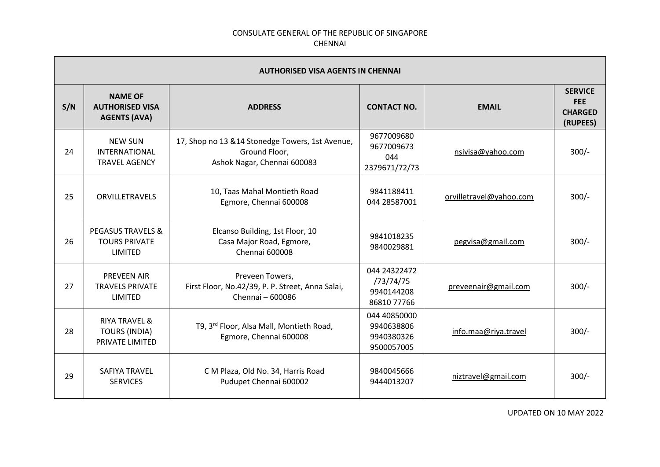|     | <b>AUTHORISED VISA AGENTS IN CHENNAI</b>                                   |                                                                                                  |                                                        |                         |                                                            |  |
|-----|----------------------------------------------------------------------------|--------------------------------------------------------------------------------------------------|--------------------------------------------------------|-------------------------|------------------------------------------------------------|--|
| S/N | <b>NAME OF</b><br><b>AUTHORISED VISA</b><br><b>AGENTS (AVA)</b>            | <b>ADDRESS</b>                                                                                   | <b>CONTACT NO.</b>                                     | <b>EMAIL</b>            | <b>SERVICE</b><br><b>FEE</b><br><b>CHARGED</b><br>(RUPEES) |  |
| 24  | <b>NEW SUN</b><br>INTERNATIONAL<br><b>TRAVEL AGENCY</b>                    | 17, Shop no 13 & 14 Stonedge Towers, 1st Avenue,<br>Ground Floor,<br>Ashok Nagar, Chennai 600083 | 9677009680<br>9677009673<br>044<br>2379671/72/73       | nsivisa@yahoo.com       | $300/-$                                                    |  |
| 25  | <b>ORVILLETRAVELS</b>                                                      | 10, Taas Mahal Montieth Road<br>Egmore, Chennai 600008                                           | 9841188411<br>044 28587001                             | orvilletravel@yahoo.com | $300/-$                                                    |  |
| 26  | <b>PEGASUS TRAVELS &amp;</b><br><b>TOURS PRIVATE</b><br><b>LIMITED</b>     | Elcanso Building, 1st Floor, 10<br>Casa Major Road, Egmore,<br>Chennai 600008                    | 9841018235<br>9840029881                               | pegvisa@gmail.com       | $300/-$                                                    |  |
| 27  | <b>PREVEEN AIR</b><br><b>TRAVELS PRIVATE</b><br>LIMITED                    | Preveen Towers,<br>First Floor, No.42/39, P. P. Street, Anna Salai,<br>Chennai - 600086          | 044 24322472<br>/73/74/75<br>9940144208<br>86810 77766 | preveenair@gmail.com    | $300/-$                                                    |  |
| 28  | <b>RIYA TRAVEL &amp;</b><br><b>TOURS (INDIA)</b><br><b>PRIVATE LIMITED</b> | T9, 3 <sup>rd</sup> Floor, Alsa Mall, Montieth Road,<br>Egmore, Chennai 600008                   | 044 40850000<br>9940638806<br>9940380326<br>9500057005 | info.maa@riya.travel    | $300/-$                                                    |  |
| 29  | <b>SAFIYA TRAVEL</b><br><b>SERVICES</b>                                    | C M Plaza, Old No. 34, Harris Road<br>Pudupet Chennai 600002                                     | 9840045666<br>9444013207                               | niztravel@gmail.com     | $300/-$                                                    |  |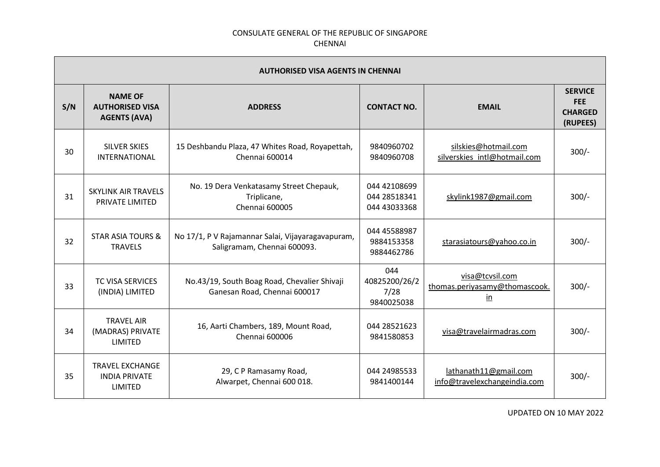| <b>AUTHORISED VISA AGENTS IN CHENNAI</b> |                                                                  |                                                                                  |                                              |                                                                             |                                                            |  |
|------------------------------------------|------------------------------------------------------------------|----------------------------------------------------------------------------------|----------------------------------------------|-----------------------------------------------------------------------------|------------------------------------------------------------|--|
| S/N                                      | <b>NAME OF</b><br><b>AUTHORISED VISA</b><br><b>AGENTS (AVA)</b>  | <b>ADDRESS</b>                                                                   | <b>CONTACT NO.</b>                           | <b>EMAIL</b>                                                                | <b>SERVICE</b><br><b>FEE</b><br><b>CHARGED</b><br>(RUPEES) |  |
| 30                                       | <b>SILVER SKIES</b><br><b>INTERNATIONAL</b>                      | 15 Deshbandu Plaza, 47 Whites Road, Royapettah,<br>Chennai 600014                | 9840960702<br>9840960708                     | silskies@hotmail.com<br>silverskies intl@hotmail.com                        | $300/-$                                                    |  |
| 31                                       | <b>SKYLINK AIR TRAVELS</b><br>PRIVATE LIMITED                    | No. 19 Dera Venkatasamy Street Chepauk,<br>Triplicane,<br><b>Chennai 600005</b>  | 044 42108699<br>044 28518341<br>044 43033368 | skylink1987@gmail.com                                                       | $300/-$                                                    |  |
| 32                                       | <b>STAR ASIA TOURS &amp;</b><br><b>TRAVELS</b>                   | No 17/1, P V Rajamannar Salai, Vijayaragavapuram,<br>Saligramam, Chennai 600093. | 044 45588987<br>9884153358<br>9884462786     | starasiatours@yahoo.co.in                                                   | $300/-$                                                    |  |
| 33                                       | <b>TC VISA SERVICES</b><br>(INDIA) LIMITED                       | No.43/19, South Boag Road, Chevalier Shivaji<br>Ganesan Road, Chennai 600017     | 044<br>40825200/26/2<br>7/28<br>9840025038   | visa@tcvsil.com<br>thomas.periyasamy@thomascook.<br>$\underline{\text{in}}$ | $300/-$                                                    |  |
| 34                                       | <b>TRAVEL AIR</b><br>(MADRAS) PRIVATE<br>LIMITED                 | 16, Aarti Chambers, 189, Mount Road,<br>Chennai 600006                           | 044 28521623<br>9841580853                   | visa@travelairmadras.com                                                    | $300/-$                                                    |  |
| 35                                       | <b>TRAVEL EXCHANGE</b><br><b>INDIA PRIVATE</b><br><b>LIMITED</b> | 29, C P Ramasamy Road,<br>Alwarpet, Chennai 600 018.                             | 044 24985533<br>9841400144                   | lathanath11@gmail.com<br>info@travelexchangeindia.com                       | $300/-$                                                    |  |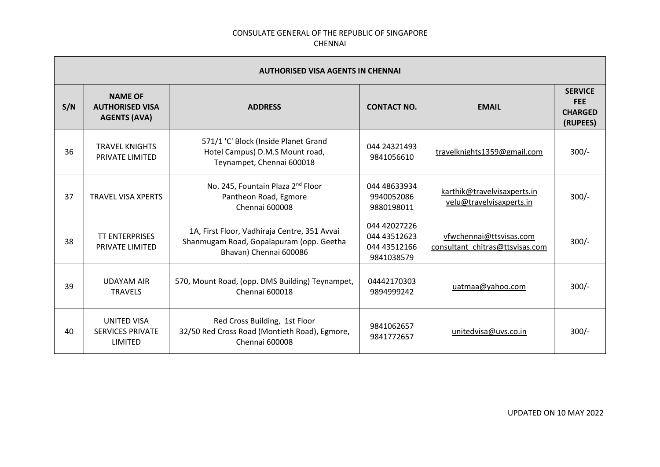| <b>AUTHORISED VISA AGENTS IN CHENNAI</b> |                                                                 |                                                                                                                    |                                                            |                                                            |                                                            |
|------------------------------------------|-----------------------------------------------------------------|--------------------------------------------------------------------------------------------------------------------|------------------------------------------------------------|------------------------------------------------------------|------------------------------------------------------------|
| S/N                                      | <b>NAME OF</b><br><b>AUTHORISED VISA</b><br><b>AGENTS (AVA)</b> | <b>ADDRESS</b>                                                                                                     | <b>CONTACT NO.</b>                                         | <b>EMAIL</b>                                               | <b>SERVICE</b><br><b>FEE</b><br><b>CHARGED</b><br>(RUPEES) |
| 36                                       | <b>TRAVEL KNIGHTS</b><br>PRIVATE LIMITED                        | 571/1 'C' Block (Inside Planet Grand<br>Hotel Campus) D.M.S Mount road,<br>Teynampet, Chennai 600018               | 044 24321493<br>9841056610                                 | travelknights1359@gmail.com                                | $300/-$                                                    |
| 37                                       | <b>TRAVEL VISA XPERTS</b>                                       | No. 245, Fountain Plaza 2 <sup>nd</sup> Floor<br>Pantheon Road, Egmore<br>Chennai 600008                           | 044 48633934<br>9940052086<br>9880198011                   | karthik@travelvisaxperts.in<br>velu@travelvisaxperts.in    | $300/-$                                                    |
| 38                                       | <b>TT ENTERPRISES</b><br>PRIVATE LIMITED                        | 1A, First Floor, Vadhiraja Centre, 351 Avvai<br>Shanmugam Road, Gopalapuram (opp. Geetha<br>Bhavan) Chennai 600086 | 044 42027226<br>044 43512623<br>044 43512166<br>9841038579 | vfwchennai@ttsvisas.com<br>consultant_chitras@ttsvisas.com | $300/-$                                                    |
| 39                                       | <b>UDAYAM AIR</b><br><b>TRAVELS</b>                             | 570, Mount Road, (opp. DMS Building) Teynampet,<br>Chennai 600018                                                  | 04442170303<br>9894999242                                  | uatmaa@yahoo.com                                           | $300/-$                                                    |
| 40                                       | <b>UNITED VISA</b><br><b>SERVICES PRIVATE</b><br>LIMITED        | Red Cross Building, 1st Floor<br>32/50 Red Cross Road (Montieth Road), Egmore,<br>Chennai 600008                   | 9841062657<br>9841772657                                   | unitedvisa@uvs.co.in                                       | $300/-$                                                    |